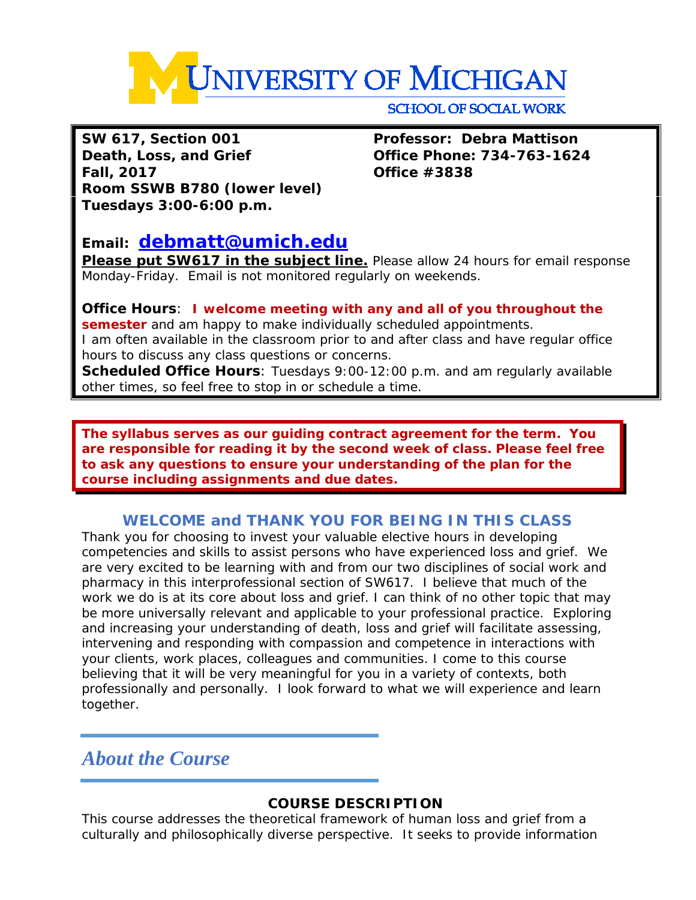

**SCHOOL OF SOCIAL WORK** 

**SW 617, Section 001 Professor: Debra Mattison Death, Loss, and Grief Office Phone: 734-763-1624 Fall, 2017 Office #3838 Room SSWB B780 (lower level) Tuesdays 3:00-6:00 p.m.**

# **Email: [debmatt@umich.edu](mailto:debmatt@umich.edu)**

**Please put SW617 in the subject line.** Please allow 24 hours for email response Monday-Friday. Email is not monitored regularly on weekends.

### **Office Hours**: **I welcome meeting with any and all of you throughout the semester** and am happy to make individually scheduled appointments. I am often available in the classroom prior to and after class and have regular office hours to discuss any class questions or concerns.

**Scheduled Office Hours**: Tuesdays 9:00-12:00 p.m. and am regularly available other times, so feel free to stop in or schedule a time.

**The syllabus serves as our guiding contract agreement for the term. You are responsible for reading it by the second week of class. Please feel free to ask any questions to ensure your understanding of the plan for the course including assignments and due dates.** 

# **WELCOME and THANK YOU FOR BEING IN THIS CLASS**

Thank you for choosing to invest your valuable elective hours in developing competencies and skills to assist persons who have experienced loss and grief. We are very excited to be learning with and from our two disciplines of social work and pharmacy in this interprofessional section of SW617. I believe that much of the work we do is at its core about loss and grief. I can think of no other topic that may be more universally relevant and applicable to your professional practice. Exploring and increasing your understanding of death, loss and grief will facilitate assessing, intervening and responding with compassion and competence in interactions with your clients, work places, colleagues and communities. I come to this course believing that it will be very meaningful for you in a variety of contexts, both professionally and personally. I look forward to what we will experience and learn together.

# *About the Course*

## **COURSE DESCRIPTION**

This course addresses the theoretical framework of human loss and grief from a culturally and philosophically diverse perspective. It seeks to provide information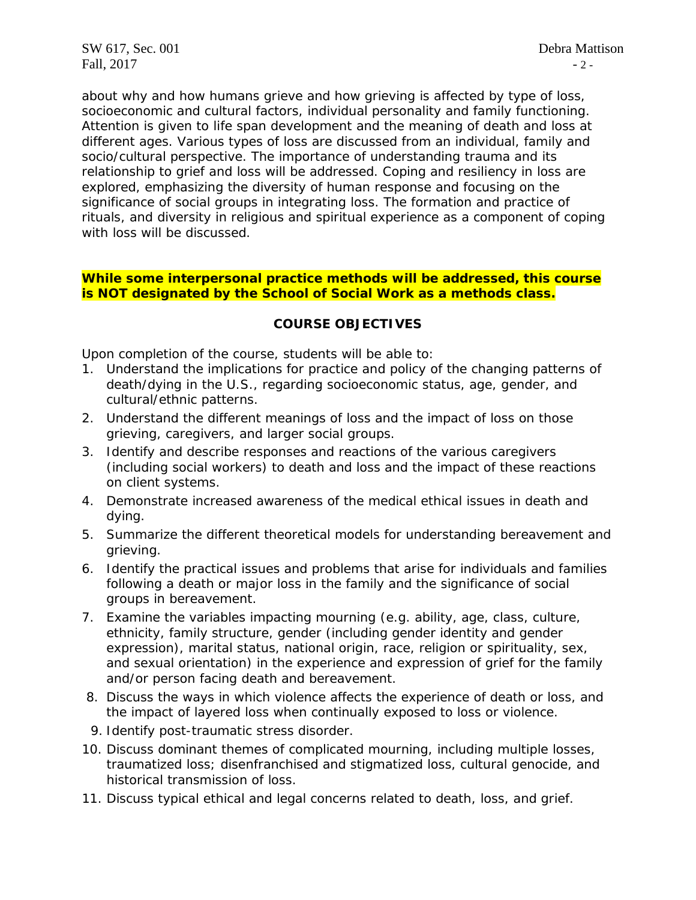about why and how humans grieve and how grieving is affected by type of loss, socioeconomic and cultural factors, individual personality and family functioning. Attention is given to life span development and the meaning of death and loss at different ages. Various types of loss are discussed from an individual, family and socio/cultural perspective. The importance of understanding trauma and its relationship to grief and loss will be addressed. Coping and resiliency in loss are explored, emphasizing the diversity of human response and focusing on the significance of social groups in integrating loss. The formation and practice of rituals, and diversity in religious and spiritual experience as a component of coping with loss will be discussed.

#### **While some interpersonal practice methods will be addressed, this course is NOT designated by the School of Social Work as a methods class.**

#### **COURSE OBJECTIVES**

Upon completion of the course, students will be able to:

- 1. Understand the implications for practice and policy of the changing patterns of death/dying in the U.S., regarding socioeconomic status, age, gender, and cultural/ethnic patterns.
- 2. Understand the different meanings of loss and the impact of loss on those grieving, caregivers, and larger social groups.
- 3. Identify and describe responses and reactions of the various caregivers (including social workers) to death and loss and the impact of these reactions on client systems.
- 4. Demonstrate increased awareness of the medical ethical issues in death and dying.
- 5. Summarize the different theoretical models for understanding bereavement and grieving.
- 6. Identify the practical issues and problems that arise for individuals and families following a death or major loss in the family and the significance of social groups in bereavement.
- 7. Examine the variables impacting mourning (e.g. ability, age, class, culture, ethnicity, family structure, gender (including gender identity and gender expression), marital status, national origin, race, religion or spirituality, sex, and sexual orientation) in the experience and expression of grief for the family and/or person facing death and bereavement.
- 8. Discuss the ways in which violence affects the experience of death or loss, and the impact of layered loss when continually exposed to loss or violence.
- 9. Identify post-traumatic stress disorder.
- 10. Discuss dominant themes of complicated mourning, including multiple losses, traumatized loss; disenfranchised and stigmatized loss, cultural genocide, and historical transmission of loss.
- 11. Discuss typical ethical and legal concerns related to death, loss, and grief.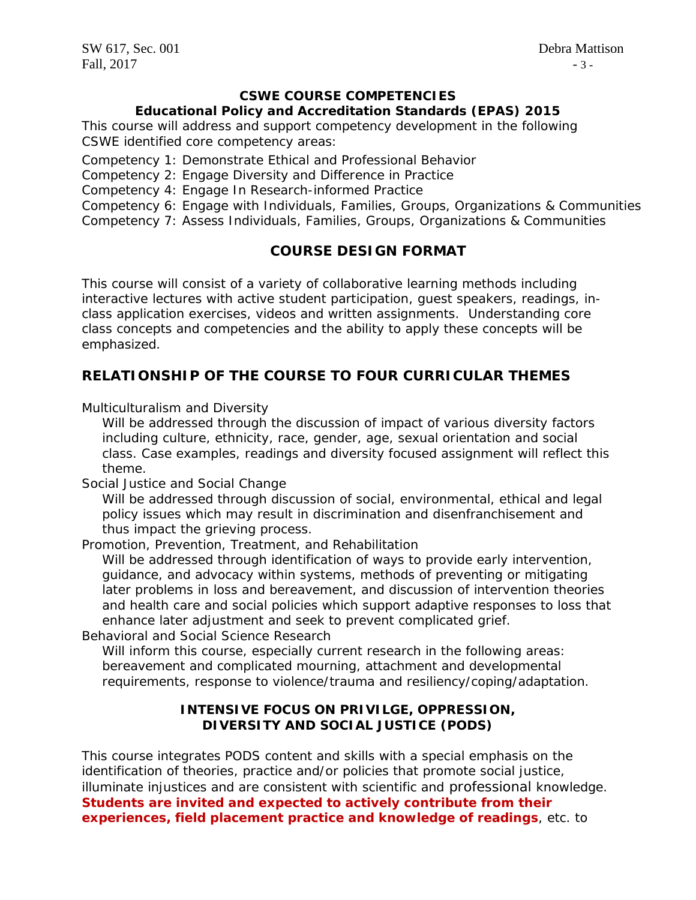### **CSWE COURSE COMPETENCIES**

#### **Educational Policy and Accreditation Standards (EPAS) 2015**

This course will address and support competency development in the following CSWE identified core competency areas:

Competency 1: Demonstrate Ethical and Professional Behavior

Competency 2: Engage Diversity and Difference in Practice

Competency 4: Engage In Research-informed Practice

Competency 6: Engage with Individuals, Families, Groups, Organizations & Communities Competency 7: Assess Individuals, Families, Groups, Organizations & Communities

## **COURSE DESIGN FORMAT**

This course will consist of a variety of collaborative learning methods including interactive lectures with active student participation, guest speakers, readings, inclass application exercises, videos and written assignments. Understanding core class concepts and competencies and the ability to apply these concepts will be emphasized.

## **RELATIONSHIP OF THE COURSE TO FOUR CURRICULAR THEMES**

*Multiculturalism and Diversity*

Will be addressed through the discussion of impact of various diversity factors including culture, ethnicity, race, gender, age, sexual orientation and social class. Case examples, readings and diversity focused assignment will reflect this theme.

*Social Justice and Social Change* 

Will be addressed through discussion of social, environmental, ethical and legal policy issues which may result in discrimination and disenfranchisement and thus impact the grieving process.

*Promotion, Prevention, Treatment, and Rehabilitation* 

Will be addressed through identification of ways to provide early intervention, guidance, and advocacy within systems, methods of preventing or mitigating later problems in loss and bereavement, and discussion of intervention theories and health care and social policies which support adaptive responses to loss that enhance later adjustment and seek to prevent complicated grief.

*Behavioral and Social Science Research* 

Will inform this course, especially current research in the following areas: bereavement and complicated mourning, attachment and developmental requirements, response to violence/trauma and resiliency/coping/adaptation.

### **INTENSIVE FOCUS ON PRIVILGE, OPPRESSION, DIVERSITY AND SOCIAL JUSTICE (PODS)**

This course integrates PODS content and skills with a special emphasis on the identification of theories, practice and/or policies that promote social justice, illuminate injustices and are consistent with scientific and professional knowledge. **Students are invited and expected to actively contribute from their experiences, field placement practice and knowledge of readings**, etc. to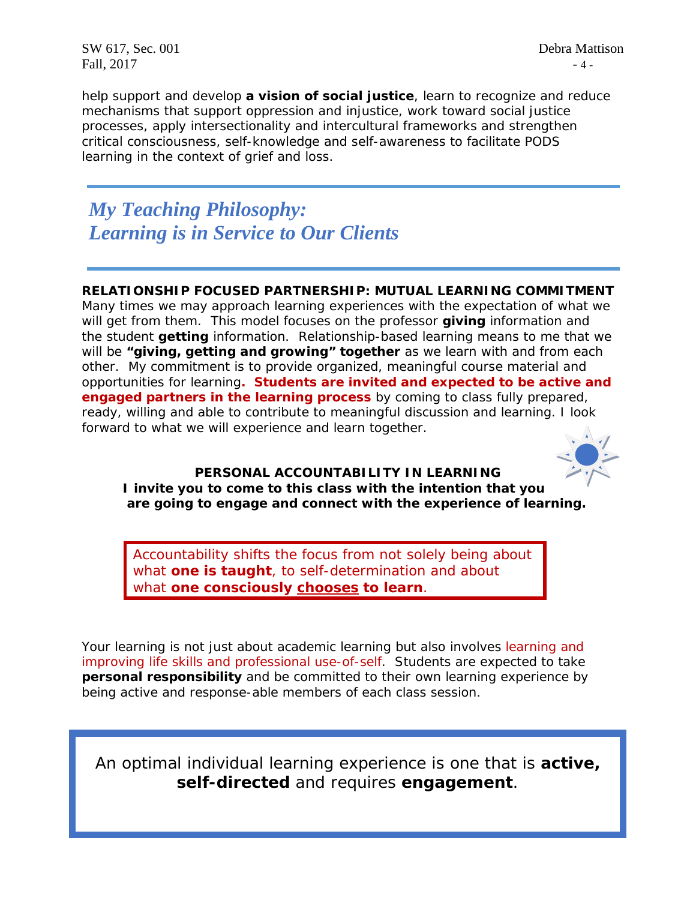SW 617, Sec. 001 Debra Mattison Fall,  $2017$  - 4 -

help support and develop **a vision of social justice**, learn to recognize and reduce mechanisms that support oppression and injustice, work toward social justice processes, apply intersectionality and intercultural frameworks and strengthen critical consciousness, self-knowledge and self-awareness to facilitate PODS learning in the context of grief and loss.

*My Teaching Philosophy: Learning is in Service to Our Clients*

#### **RELATIONSHIP FOCUSED PARTNERSHIP: MUTUAL LEARNING COMMITMENT**

Many times we may approach learning experiences with the expectation of what we will get from them. This model focuses on the professor **giving** information and the student **getting** information. Relationship-based learning means to me that we will be **"giving, getting and growing" together** as we learn *with* and *from* each other. My commitment is to provide organized, meaningful course material and opportunities for learning**. Students are invited and expected to be active and engaged partners in the learning process** by coming to class fully prepared, ready, willing and able to contribute to meaningful discussion and learning. I look forward to what we will experience and learn together.



## **PERSONAL ACCOUNTABILITY IN LEARNING**

*I invite you to come to this class with the intention that you are going to engage and connect with the experience of learning.*

Accountability shifts the focus from *not solely* being *about*  what *one is taught,* to self-determination and about what **one** *consciously chooses to learn.*

Your learning is not just about academic learning but also involves learning and improving life skills and professional use-of-self. Students are expected to take **personal responsibility** and be committed to their own learning experience by being active and response-able members of each class session.

An optimal individual learning experience is one that is **active, self-directed** and requires **engagement**.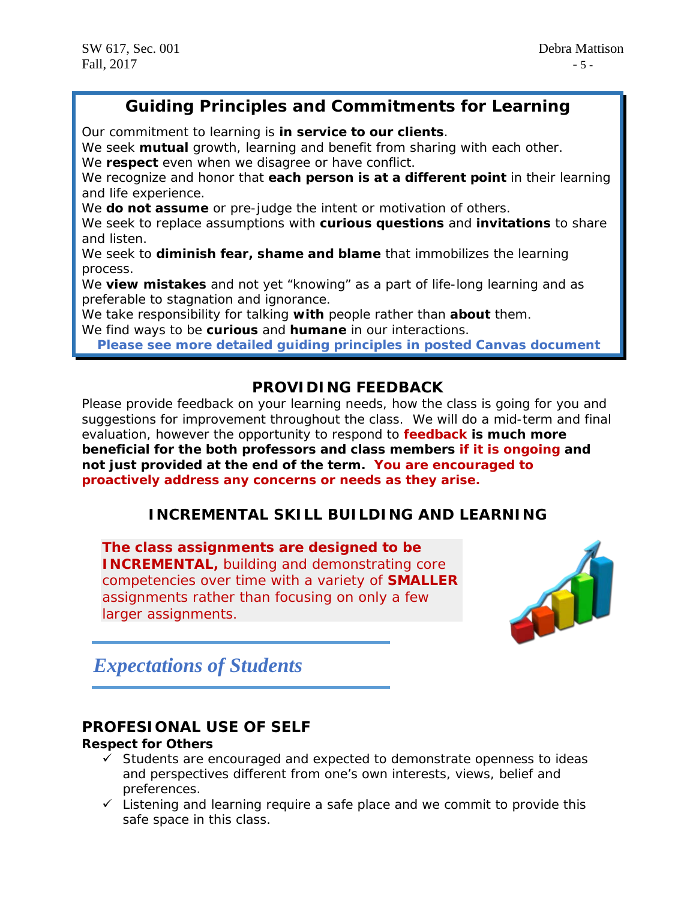# *Guiding Principles and Commitments for Learning*

*Our commitment to learning is in service to our clients.*

We seek **mutual** growth, learning and benefit from sharing with each other. *We respect even when we disagree or have conflict.*

We recognize and honor that **each person is at a different point** in their learning and life experience.

*We do not assume or pre-judge the intent or motivation of others.*

We seek to replace assumptions with **curious questions** and **invitations** to share and listen.

*We seek to diminish fear, shame and blame that immobilizes the learning process.*

We **view mistakes** and not yet "knowing" as a part of life-long learning and as preferable to stagnation and ignorance.

*We take responsibility for talking with people rather than about them.*

*We find ways to be curious and humane in our interactions.*

**Please see more detailed guiding principles in posted Canvas document**

## **PROVIDING FEEDBACK**

Please provide feedback on your learning needs, how the class is going for you and suggestions for improvement throughout the class. We will do a mid-term and final evaluation, however the opportunity to respond to **feedback is much more beneficial for the both professors and class members if it is ongoing and not just provided at the end of the term. You are encouraged to proactively address any concerns or needs as they arise.**

## **INCREMENTAL SKILL BUILDING AND LEARNING**

**The class assignments are designed to be INCREMENTAL,** building and demonstrating core competencies over time with a variety of **SMALLER**  assignments rather than focusing on only a few larger assignments.



# *Expectations of Students*

## **PROFESIONAL USE OF SELF**

#### **Respect for Others**

- $\checkmark$  Students are encouraged and expected to demonstrate openness to ideas and perspectives different from one's own interests, views, belief and preferences.
- $\checkmark$  Listening and learning require a safe place and we commit to provide this safe space in this class.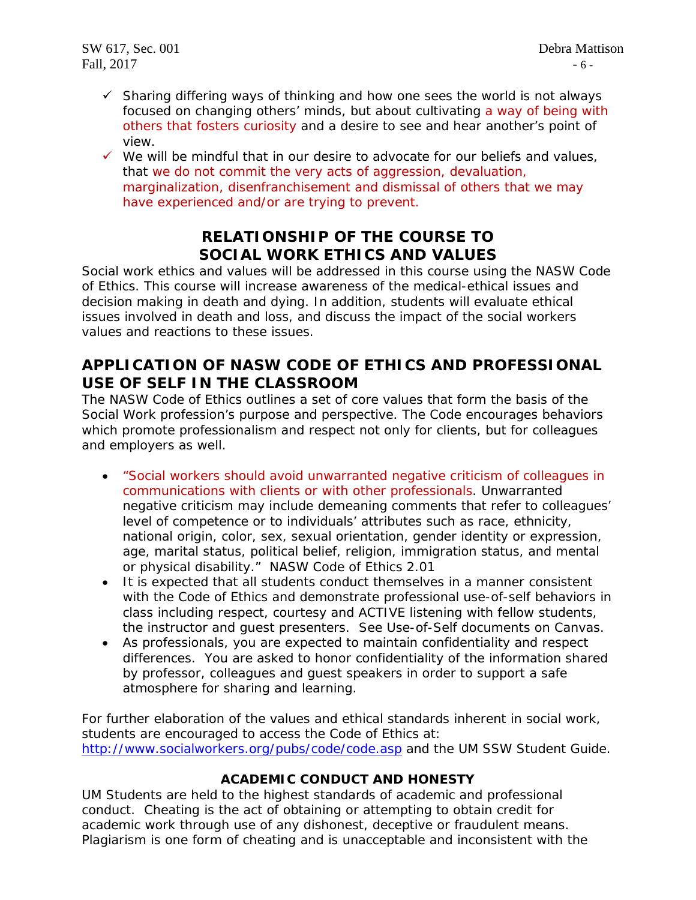- $\checkmark$  Sharing differing ways of thinking and how one sees the world is not always focused on changing others' minds, but about cultivating a way of being with others that fosters curiosity and a desire to see and hear another's point of view.
- $\checkmark$  We will be mindful that in our desire to advocate for our beliefs and values, that we do not commit the very acts of aggression, devaluation, marginalization, disenfranchisement and dismissal of others that we may have experienced and/or are trying to prevent.

# **RELATIONSHIP OF THE COURSE TO SOCIAL WORK ETHICS AND VALUES**

Social work ethics and values will be addressed in this course using the NASW Code of Ethics. This course will increase awareness of the medical-ethical issues and decision making in death and dying. In addition, students will evaluate ethical issues involved in death and loss, and discuss the impact of the social workers values and reactions to these issues.

# **APPLICATION OF NASW CODE OF ETHICS AND PROFESSIONAL USE OF SELF IN THE CLASSROOM**

The NASW Code of Ethics outlines a set of core values that form the basis of the Social Work profession's purpose and perspective. The Code encourages behaviors which promote professionalism and respect not only for clients, but for colleagues and employers as well.

- *"Social workers should avoid unwarranted negative criticism of colleagues in communications with clients or with other professionals. Unwarranted negative criticism may include demeaning comments that refer to colleagues' level of competence or to individuals' attributes such as race, ethnicity, national origin, color, sex, sexual orientation, gender identity or expression, age, marital status, political belief, religion, immigration status, and mental or physical disability."* NASW Code of Ethics 2.01
- It is expected that all students conduct themselves in a manner consistent with the Code of Ethics and demonstrate professional use-of-self behaviors in class including respect, courtesy and ACTIVE listening with fellow students, the instructor and guest presenters. See Use-of-Self documents on Canvas.
- As professionals, you are expected to maintain confidentiality and respect differences. You are asked to honor confidentiality of the information shared by professor, colleagues and guest speakers in order to support a safe atmosphere for sharing and learning.

For further elaboration of the values and ethical standards inherent in social work, students are encouraged to access the Code of Ethics at: <http://www.socialworkers.org/pubs/code/code.asp> and the UM SSW Student Guide.

## **ACADEMIC CONDUCT AND HONESTY**

UM Students are held to the highest standards of academic and professional conduct. Cheating is the act of obtaining or attempting to obtain credit for academic work through use of any dishonest, deceptive or fraudulent means. Plagiarism is one form of cheating and is unacceptable and inconsistent with the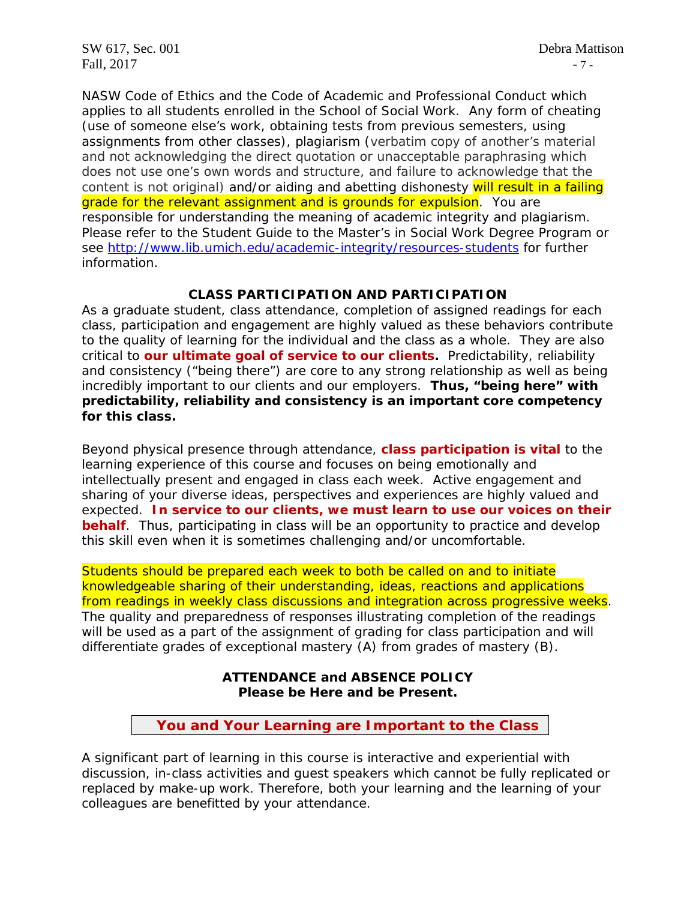NASW Code of Ethics and the Code of Academic and Professional Conduct which applies to all students enrolled in the School of Social Work. Any form of cheating (use of someone else's work, obtaining tests from previous semesters, using assignments from other classes), plagiarism (verbatim copy of another's material and not acknowledging the direct quotation or unacceptable paraphrasing which does not use one's own words and structure, and failure to acknowledge that the content is not original) and/or aiding and abetting dishonesty will result in a failing grade for the relevant assignment and is grounds for expulsion. You are responsible for understanding the meaning of academic integrity and plagiarism. Please refer to the Student Guide to the Master's in Social Work Degree Program or see <http://www.lib.umich.edu/academic-integrity/resources-students> for further information.

### **CLASS PARTICIPATION AND PARTICIPATION**

As a graduate student, class attendance, completion of assigned readings for each class, participation and engagement are highly valued as these behaviors contribute to the quality of learning for the individual and the class as a whole. They are also critical to **our ultimate goal of service to our clients.** Predictability, reliability and consistency ("being there") are core to any strong relationship as well as being incredibly important to our clients and our employers. **Thus, "being here" with predictability, reliability and consistency is an important core competency for this class.** 

Beyond physical presence through attendance, **class participation is vital** to the learning experience of this course and focuses on being emotionally and intellectually present and engaged in class each week. Active engagement and sharing of your diverse ideas, perspectives and experiences are highly valued and expected. **In service to our clients, we must learn to use our voices on their behalf**. Thus, participating in class will be an opportunity to practice and develop this skill even when it is sometimes challenging and/or uncomfortable.

Students should be prepared each week to both be called on and to initiate knowledgeable sharing of their understanding, ideas, reactions and applications from readings in weekly class discussions and integration across progressive weeks. The quality and preparedness of responses illustrating completion of the readings will be used as a part of the assignment of grading for class participation and will differentiate grades of exceptional mastery (A) from grades of mastery (B).

> **ATTENDANCE and ABSENCE POLICY Please be Here and be Present.**

 **You and Your Learning are Important to the Class**

A significant part of learning in this course is interactive and experiential with discussion, in-class activities and guest speakers which cannot be fully replicated or replaced by make-up work. Therefore, both your learning and the learning of your colleagues are benefitted by your attendance.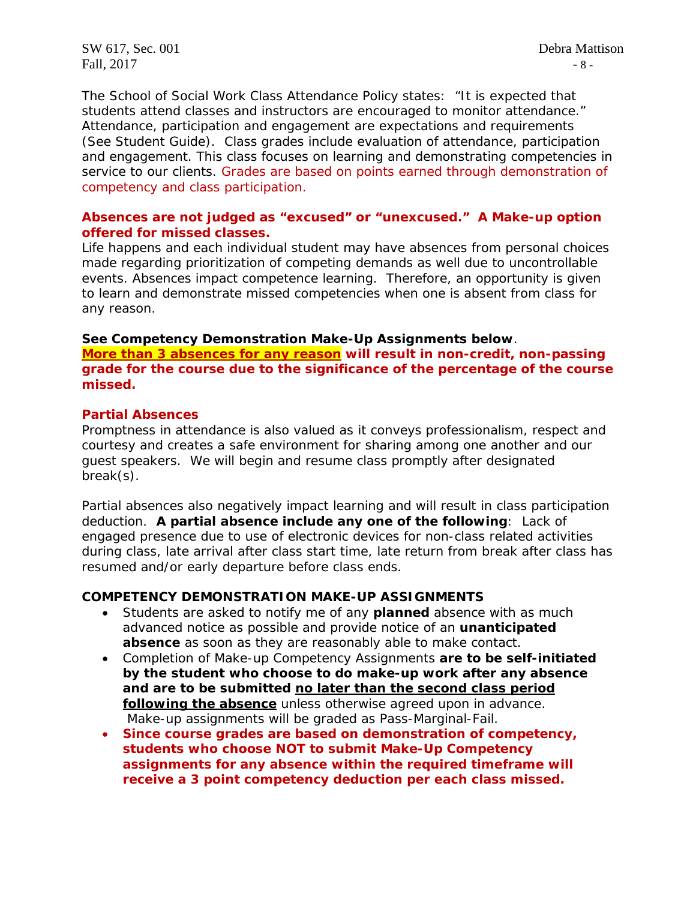SW 617, Sec. 001 Debra Mattison Fall,  $2017$  - 8 -

The School of Social Work Class Attendance Policy states: "It is expected that students attend classes and instructors are encouraged to monitor attendance." Attendance, participation and engagement are expectations and requirements (See Student Guide). Class grades include evaluation of attendance, participation and engagement. This class focuses on learning and demonstrating competencies in service to our clients. Grades are based on points earned through demonstration of competency and class participation.

#### **Absences are not judged as "excused" or "unexcused." A Make-up option offered for missed classes.**

Life happens and each individual student may have absences from personal choices made regarding prioritization of competing demands as well due to uncontrollable events. Absences impact competence learning. Therefore, an opportunity is given to learn and demonstrate missed competencies when one is absent from class for any reason.

#### **See Competency Demonstration Make-Up Assignments below**.

**More than 3 absences for any reason will result in non-credit, non-passing grade for the course due to the significance of the percentage of the course missed.**

#### **Partial Absences**

Promptness in attendance is also valued as it conveys professionalism, respect and courtesy and creates a safe environment for sharing among one another and our guest speakers. We will begin and resume class promptly after designated break(s).

Partial absences also negatively impact learning and will result in class participation deduction. **A partial absence include any one of the following**: Lack of engaged presence due to use of electronic devices for non-class related activities during class, late arrival after class start time, late return from break after class has resumed and/or early departure before class ends.

#### **COMPETENCY DEMONSTRATION MAKE-UP ASSIGNMENTS**

- Students are asked to notify me of any **planned** absence with as much advanced notice as possible and provide notice of an **unanticipated absence** as soon as they are reasonably able to make contact.
- Completion of Make-up Competency Assignments **are to be self-initiated by the student who choose to do make-up work after any absence and are to be submitted no later than the second class period following the absence** unless otherwise agreed upon in advance. Make-up assignments will be graded as Pass-Marginal-Fail.
- **Since course grades are based on demonstration of competency, students who choose NOT to submit Make-Up Competency assignments for any absence within the required timeframe will receive a 3 point competency deduction per each class missed.**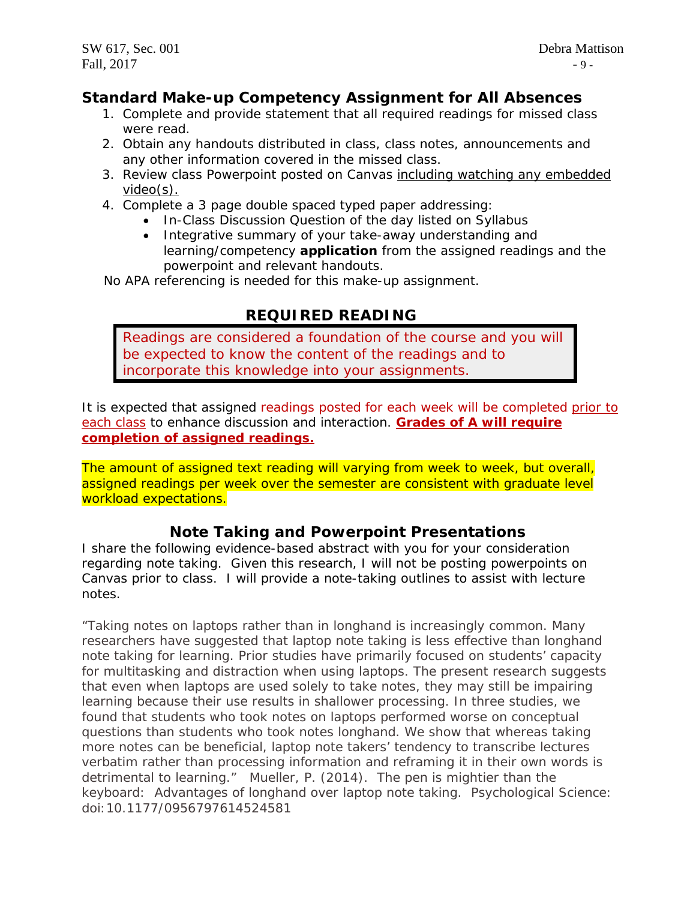# **Standard Make-up Competency Assignment for All Absences**

- 1. Complete and provide statement that all required readings for missed class were read.
- 2. Obtain any handouts distributed in class, class notes, announcements and any other information covered in the missed class.
- 3. Review class Powerpoint posted on Canvas including watching any embedded video(s).
- 4. Complete a 3 page double spaced typed paper addressing:
	- In-Class Discussion Question of the day listed on Syllabus
	- Integrative summary of your take-away understanding and learning/competency **application** from the assigned readings and the powerpoint and relevant handouts.

No APA referencing is needed for this make-up assignment.

# **REQUIRED READING**

Readings are considered a foundation of the course and you will be expected to know the content of the readings and to incorporate this knowledge into your assignments.

It is expected that assigned readings posted for each week will be completed prior to each class to enhance discussion and interaction. **Grades of A will require completion of assigned readings.** 

The amount of assigned text reading will varying from week to week, but overall, assigned readings per week over the semester are consistent with graduate level workload expectations.

## **Note Taking and Powerpoint Presentations**

I share the following evidence-based abstract with you for your consideration regarding note taking. Given this research, I will not be posting powerpoints on Canvas prior to class. I will provide a note-taking outlines to assist with lecture notes.

*"Taking notes on laptops rather than in longhand is increasingly common. Many researchers have suggested that laptop note taking is less effective than longhand note taking for learning. Prior studies have primarily focused on students' capacity for multitasking and distraction when using laptops. The present research suggests that even when laptops are used solely to take notes, they may still be impairing learning because their use results in shallower processing. In three studies, we found that students who took notes on laptops performed worse on conceptual questions than students who took notes longhand. We show that whereas taking more notes can be beneficial, laptop note takers' tendency to transcribe lectures verbatim rather than processing information and reframing it in their own words is detrimental to learning."* Mueller, P. (2014). The pen is mightier than the keyboard: Advantages of longhand over laptop note taking. *Psychological Science*: doi:10.1177/0956797614524581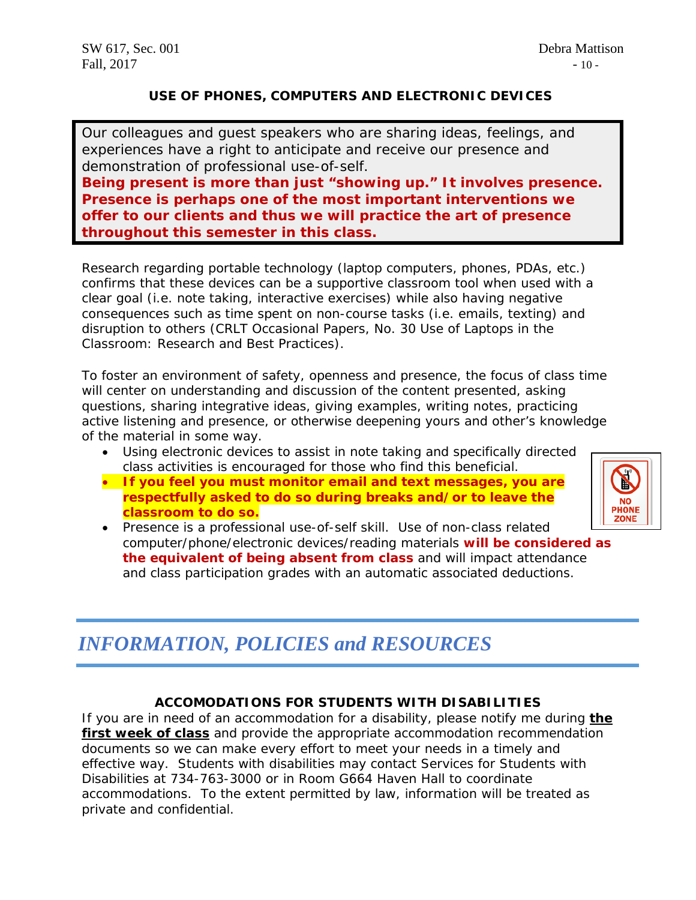## **USE OF PHONES, COMPUTERS AND ELECTRONIC DEVICES**

Our colleagues and guest speakers who are sharing ideas, feelings, and experiences have a right to anticipate and receive our presence and demonstration of professional use-of-self.

**Being** *present* **is more than just "showing up." It involves** *presence.* **Presence is perhaps one of the most important interventions we offer to our clients and thus we will practice the art of presence throughout this semester in this class.**

Research regarding portable technology (laptop computers, phones, PDAs, etc.) confirms that these devices can be a supportive classroom tool when used with a clear goal (i.e. note taking, interactive exercises) while also having negative consequences such as time spent on non-course tasks (i.e. emails, texting) and disruption to others *(CRLT Occasional Papers, No. 30 Use of Laptops in the Classroom: Research and Best Practices*).

To foster an environment of safety, openness and presence, the focus of class time will center on understanding and discussion of the content presented, asking questions, sharing integrative ideas, giving examples, writing notes, practicing active listening and presence, or otherwise deepening yours and other's knowledge of the material in some way.

- Using electronic devices to assist in note taking and specifically directed class activities is encouraged for those who find this beneficial.
- **If you feel you must monitor email and text messages, you are respectfully asked to do so during breaks and/or to leave the classroom to do so.**



• *Presence is a professional use-of-self skill*. Use of non-class related computer/phone/electronic devices/reading materials **will be considered as the equivalent of being absent from class** and will impact attendance and class participation grades with an automatic associated deductions.

# *INFORMATION, POLICIES and RESOURCES*

## **ACCOMODATIONS FOR STUDENTS WITH DISABILITIES**

If you are in need of an accommodation for a disability, please notify me during **the first week of class** and provide the appropriate accommodation recommendation documents so we can make every effort to meet your needs in a timely and effective way. Students with disabilities may contact Services for Students with Disabilities at 734-763-3000 or in Room G664 Haven Hall to coordinate accommodations. To the extent permitted by law, information will be treated as private and confidential.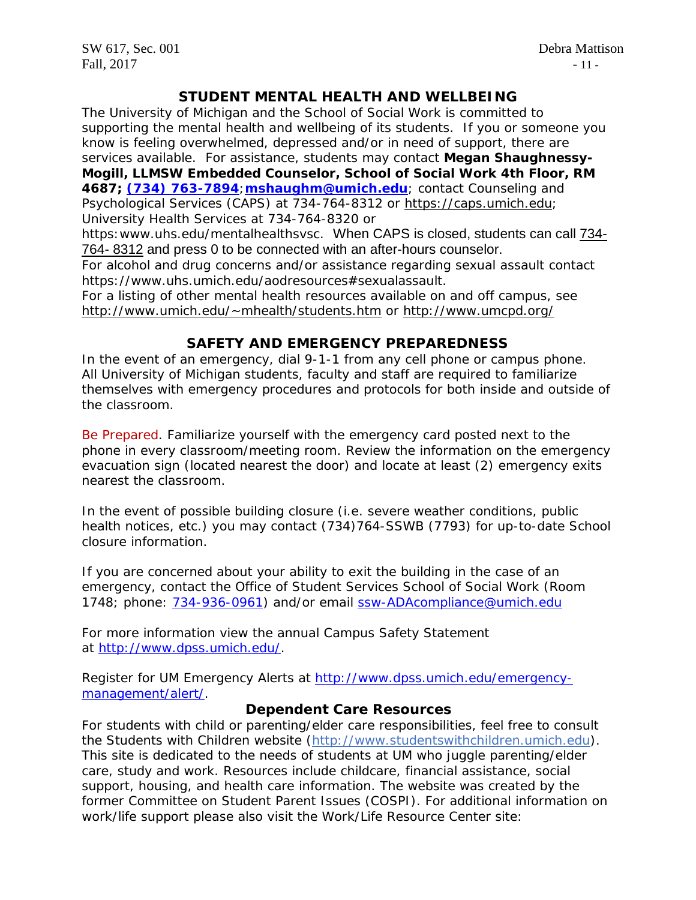SW 617, Sec. 001 Debra Mattison Fall,  $2017$  - 11 -

## **STUDENT MENTAL HEALTH AND WELLBEING**

The University of Michigan and the School of Social Work is committed to supporting the mental health and wellbeing of its students. If you or someone you know is feeling overwhelmed, depressed and/or in need of support, there are services available. For assistance, students may contact **Megan Shaughnessy-Mogill, LLMSW Embedded Counselor, School of Social Work 4th Floor, RM 4687; [\(734\) 763-7894](tel:(734)%20763-7894)**;**[mshaughm@umich.edu](mailto:mshaughm@umich.edu)**; contact Counseling and Psychological Services (CAPS) at 734-764-8312 or [https://caps.umich.edu;](https://caps.umich.edu/) University Health Services at 734-764-8320 or

https: www.uhs.edu/mentalhealthsvsc. When CAPS is closed, students can call [734-](tel:(734)%20764-8312) 764- [8312](tel:(734)%20764-8312) and press 0 to be connected with an after-hours counselor..

For alcohol and drug concerns and/or assistance regarding sexual assault contact https://www.uhs.umich.edu/aodresources#sexualassault.

For a listing of other mental health resources available on and off campus, see [http://www.umich.edu/~mhealth/students.htm](http://www.umich.edu/%7Emhealth/students.htm) or<http://www.umcpd.org/>

### **SAFETY AND EMERGENCY PREPAREDNESS**

In the event of an emergency, dial 9-1-1 from any cell phone or campus phone. All University of Michigan students, faculty and staff are required to familiarize themselves with emergency procedures and protocols for both inside and outside of the classroom.

Be Prepared. Familiarize yourself with the emergency card posted next to the phone in every classroom/meeting room. Review the information on the emergency evacuation sign (located nearest the door) and locate at least (2) emergency exits nearest the classroom.

In the event of possible building closure (i.e. severe weather conditions, public health notices, etc.) you may contact (734)764-SSWB (7793) for up-to-date School closure information.

If you are concerned about your ability to exit the building in the case of an emergency, contact the Office of Student Services School of Social Work (Room 1748; phone: [734-936-0961\)](tel:734-936-0961) and/or email [ssw-ADAcompliance@umich.edu](mailto:ssw-ADAcompliance@umich.edu)

For more information view the annual Campus Safety Statement at [http://www.dpss.umich.edu/.](http://www.dpss.umich.edu/)

Register for UM Emergency Alerts at [http://www.dpss.umich.edu/emergency](http://www.dpss.umich.edu/emergency-management/alert/)[management/alert/.](http://www.dpss.umich.edu/emergency-management/alert/)

#### **Dependent Care Resources**

For students with child or parenting/elder care responsibilities, feel free to consult the Students with Children website [\(http://www.studentswithchildren.umich.edu\)](http://www.studentswithchildren.umich.edu/). This site is dedicated to the needs of students at UM who juggle parenting/elder care, study and work. Resources include childcare, financial assistance, social support, housing, and health care information. The website was created by the former Committee on Student Parent Issues (COSPI). For additional information on work/life support please also visit the Work/Life Resource Center site: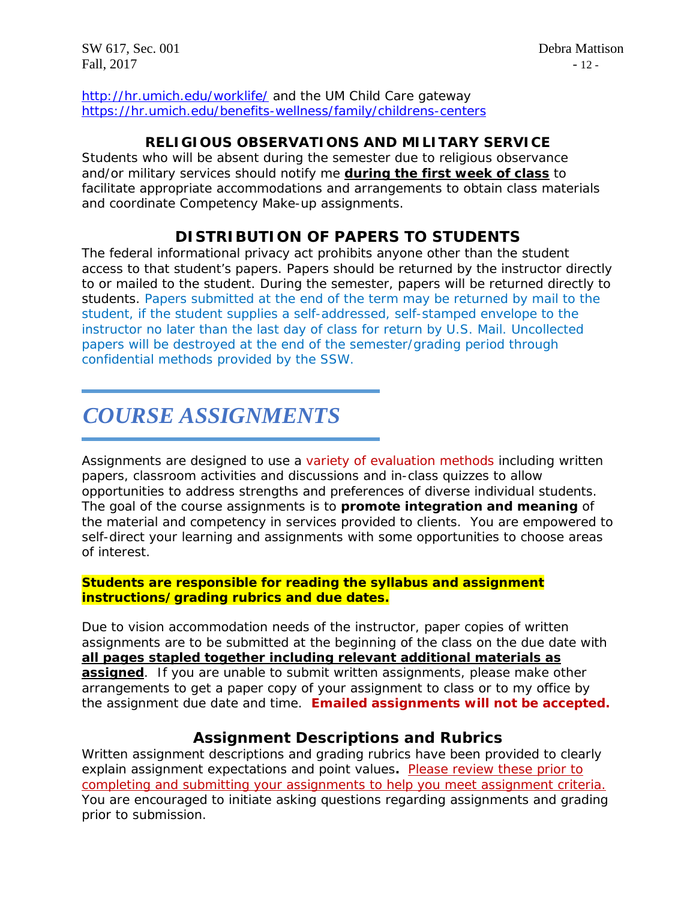SW 617, Sec. 001 Debra Mattison Fall,  $2017$  - 12 -

<http://hr.umich.edu/worklife/> and the UM Child Care gateway <https://hr.umich.edu/benefits-wellness/family/childrens-centers>

## **RELIGIOUS OBSERVATIONS AND MILITARY SERVICE**

Students who will be absent during the semester due to religious observance and/or military services should notify me **during the first week of class** to facilitate appropriate accommodations and arrangements to obtain class materials and coordinate Competency Make-up assignments.

# **DISTRIBUTION OF PAPERS TO STUDENTS**

The federal informational privacy act prohibits anyone other than the student access to that student's papers. Papers should be returned by the instructor directly to or mailed to the student. During the semester, papers will be returned directly to students. Papers submitted at the end of the term may be returned by mail to the student, if the student supplies a self-addressed, self-stamped envelope to the instructor no later than the last day of class for return by U.S. Mail. Uncollected papers will be destroyed at the end of the semester/grading period through confidential methods provided by the SSW.

# *COURSE ASSIGNMENTS*

Assignments are designed to use a variety of evaluation methods including written papers, classroom activities and discussions and in-class quizzes to allow opportunities to address strengths and preferences of diverse individual students. The goal of the course assignments is to **promote integration and meaning** of the material and competency in services provided to clients. You are empowered to self-direct your learning and assignments with some opportunities to choose areas of interest.

#### **Students are responsible for reading the syllabus and assignment instructions/grading rubrics and due dates.**

Due to vision accommodation needs of the instructor, paper copies of written assignments are to be submitted at the beginning of the class on the due date with **all pages stapled together including relevant additional materials as assigned**. If you are unable to submit written assignments, please make other arrangements to get a paper copy of your assignment to class or to my office by the assignment due date and time. **Emailed assignments will not be accepted.** 

## **Assignment Descriptions and Rubrics**

Written assignment descriptions and grading rubrics have been provided to clearly explain assignment expectations and point values**.** Please review these prior to completing and submitting your assignments to help you meet assignment criteria. You are encouraged to initiate asking questions regarding assignments and grading prior to submission.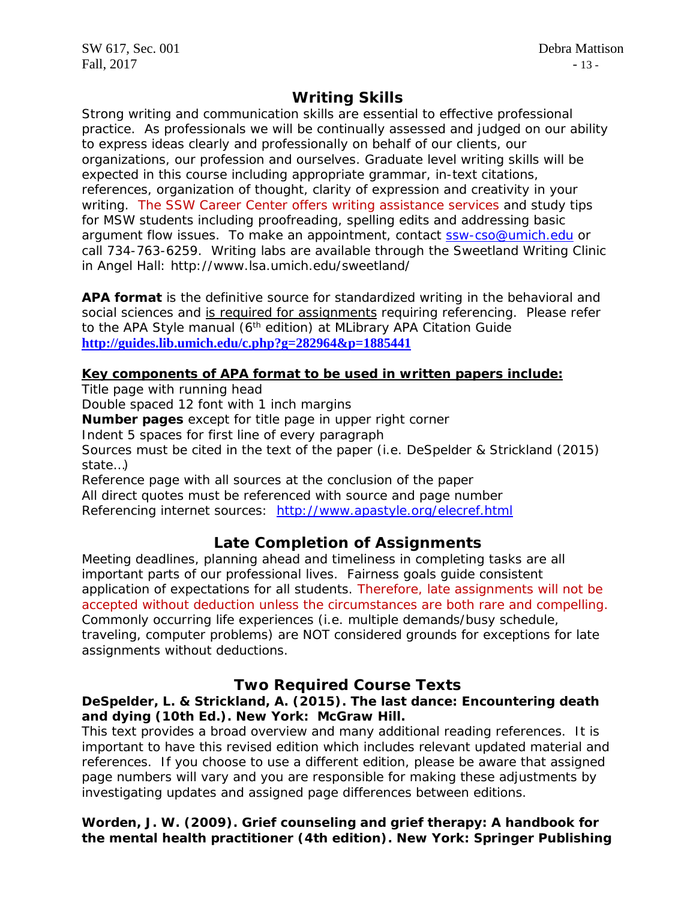# **Writing Skills**

Strong writing and communication skills are essential to effective professional practice. As professionals we will be continually assessed and judged on our ability to express ideas clearly and professionally on behalf of our clients, our organizations, our profession and ourselves. Graduate level writing skills will be expected in this course including appropriate grammar, in-text citations, references, organization of thought, clarity of expression and creativity in your writing. The SSW Career Center offers writing assistance services and study tips for MSW students including proofreading, spelling edits and addressing basic argument flow issues. To make an appointment, contact [ssw-cso@umich.edu](mailto:ssw-cso@umich.edu) or call 734-763-6259. Writing labs are available through the Sweetland Writing Clinic in Angel Hall: http://www.lsa.umich.edu/sweetland/

**APA format** is the definitive source for standardized writing in the behavioral and social sciences and is required for assignments requiring referencing. Please refer to the APA Style manual  $(6<sup>th</sup>$  edition) at MLibrary APA Citation Guide **<http://guides.lib.umich.edu/c.php?g=282964&p=1885441>**

## **Key components of APA format to be used in written papers include:**

Title page with running head

Double spaced 12 font with 1 inch margins

**Number pages** except for title page in upper right corner

Indent 5 spaces for first line of every paragraph

Sources must be cited in the text of the paper (i.e. DeSpelder & Strickland (2015) state…)

Reference page with all sources at the conclusion of the paper

All direct quotes must be referenced with source and page number

Referencing internet sources: <http://www.apastyle.org/elecref.html>

# **Late Completion of Assignments**

Meeting deadlines, planning ahead and timeliness in completing tasks are all important parts of our professional lives. Fairness goals guide consistent application of expectations for all students. Therefore, late assignments will not be accepted without deduction unless the circumstances are both rare and compelling. Commonly occurring life experiences (i.e. multiple demands/busy schedule, traveling, computer problems) are NOT considered grounds for exceptions for late assignments without deductions.

# **Two Required Course Texts**

## **DeSpelder, L. & Strickland, A. (2015).** *The last dance: Encountering death and dying* **(10th Ed.). New York: McGraw Hill.**

*This text provides a broad overview and many additional reading references. It is important to have this revised edition which includes relevant updated material and references.* If you choose to use a different edition, please be aware that assigned page numbers will vary and you are responsible for making these adjustments by investigating updates and assigned page differences between editions.

## **Worden, J. W. (2009).** *Grief counseling and grief therapy: A handbook for the mental health practitioner* **(4th edition). New York: Springer Publishing**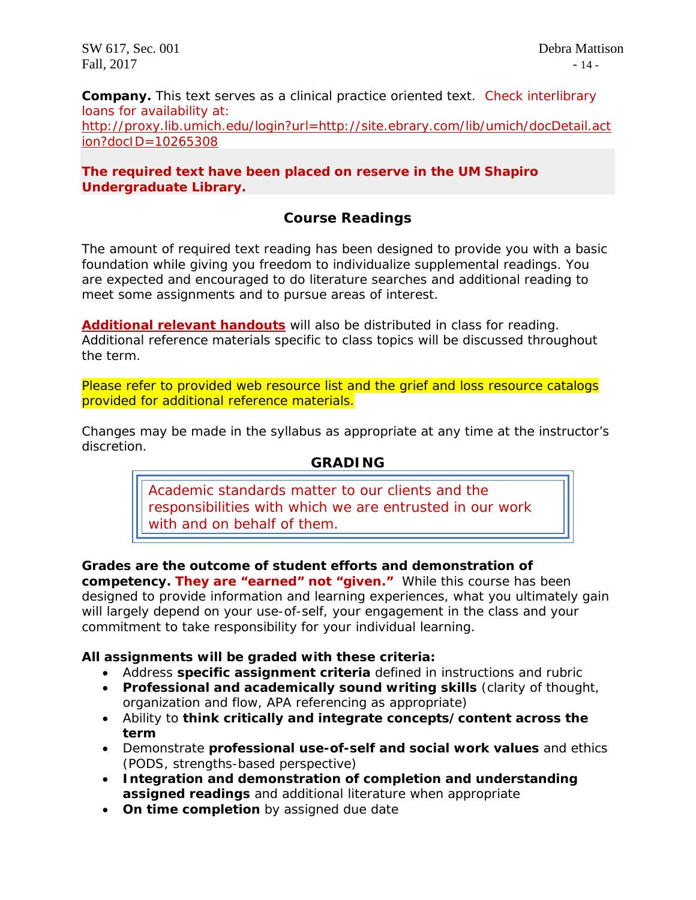**Company.** *This text serves as a clinical practice oriented text.* Check interlibrary loans for availability at: [http://proxy.lib.umich.edu/login?url=http://site.ebrary.com/lib/umich/docDetail.act](http://proxy.lib.umich.edu/login?url=http://site.ebrary.com/lib/umich/docDetail.action?docID=10265308) [ion?docID=10265308](http://proxy.lib.umich.edu/login?url=http://site.ebrary.com/lib/umich/docDetail.action?docID=10265308)

### **The required text have been placed on reserve in the UM Shapiro Undergraduate Library.**

# **Course Readings**

The amount of required text reading has been designed to provide you with a basic foundation while giving you freedom to individualize supplemental readings. You are expected and encouraged to do literature searches and additional reading to meet some assignments and to pursue areas of interest.

**Additional relevant handouts** will also be distributed in class for reading. Additional reference materials specific to class topics will be discussed throughout the term.

Please refer to provided web resource list and the grief and loss resource catalogs provided for additional reference materials.

Changes may be made in the syllabus as appropriate at any time at the instructor's discretion.

## **GRADING**

*Academic standards matter to our clients and the responsibilities with which we are entrusted in our work with and on behalf of them.*

**Grades are the outcome of student efforts and demonstration of competency.** *They are "earned" not "given."* While this course has been designed to provide information and learning experiences, what you ultimately gain will largely depend on your use-of-self, your engagement in the class and your commitment to take responsibility for your individual learning.

#### **All assignments will be graded with these criteria:**

- Address **specific assignment criteria** defined in instructions and rubric
- **Professional and academically sound writing skills** (clarity of thought, organization and flow, APA referencing as appropriate)
- Ability to **think critically and integrate concepts/content across the term**
- Demonstrate **professional use-of-self and social work values** and ethics (PODS, strengths-based perspective)
- **Integration and demonstration of completion and understanding assigned readings** and additional literature when appropriate
- **On time completion** by assigned due date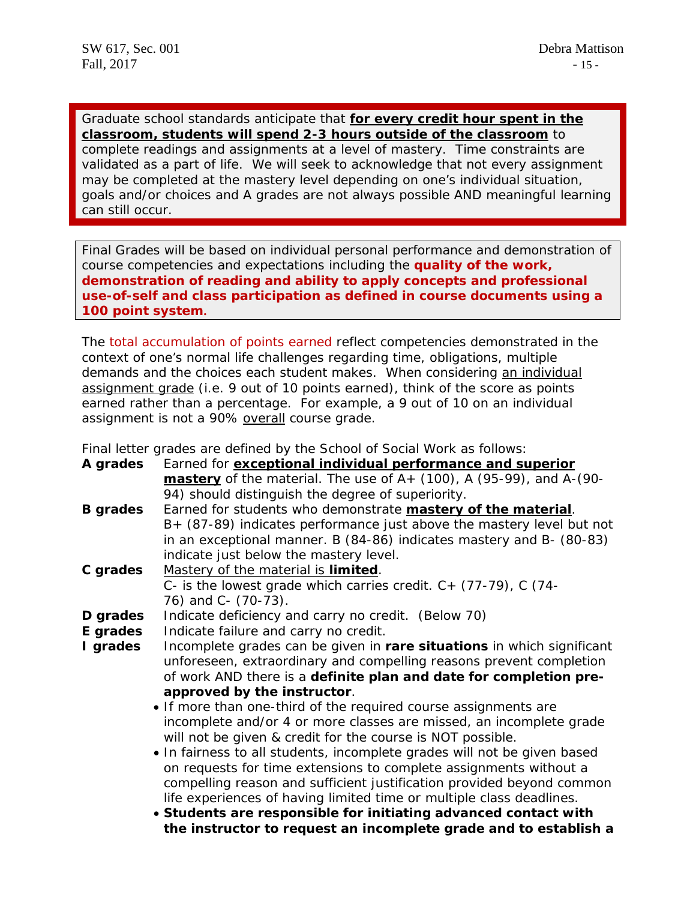Graduate school standards anticipate that **for every credit hour spent in the classroom, students will spend 2-3 hours outside of the classroom** to complete readings and assignments at a level of mastery. Time constraints are validated as a part of life. We will seek to acknowledge that not every assignment may be completed at the mastery level depending on one's individual situation, goals and/or choices and A grades are not always possible AND meaningful learning can still occur.

Final Grades will be based on individual personal performance and demonstration of course competencies and expectations including the **quality of the work, demonstration of reading and ability to apply concepts and professional use-of-self and class participation as defined in course documents using a 100 point system.** 

The total accumulation of points earned reflect competencies demonstrated in the context of one's normal life challenges regarding time, obligations, multiple demands and the choices each student makes. When considering an individual assignment grade (i.e. 9 out of 10 points earned), think of the score as points earned rather than a percentage. For example, a 9 out of 10 on an individual assignment is not a 90% overall course grade.

Final letter grades are defined by the School of Social Work as follows:

| A grades                                                            | Earned for exceptional individual performance and superior                      |  |  |  |  |
|---------------------------------------------------------------------|---------------------------------------------------------------------------------|--|--|--|--|
|                                                                     | <b>mastery</b> of the material. The use of $A_{+}$ (100), A (95-99), and A-(90- |  |  |  |  |
|                                                                     | 94) should distinguish the degree of superiority.                               |  |  |  |  |
| <b>B</b> grades                                                     | Earned for students who demonstrate mastery of the material.                    |  |  |  |  |
|                                                                     | B+ (87-89) indicates performance just above the mastery level but not           |  |  |  |  |
|                                                                     | in an exceptional manner. B (84-86) indicates mastery and B- (80-83)            |  |  |  |  |
|                                                                     | indicate just below the mastery level.                                          |  |  |  |  |
| C grades                                                            | Mastery of the material is limited.                                             |  |  |  |  |
| C- is the lowest grade which carries credit. $C + (77-79)$ , C (74- |                                                                                 |  |  |  |  |
|                                                                     | 76) and C- (70-73).                                                             |  |  |  |  |
| D grades                                                            | Indicate deficiency and carry no credit. (Below 70)                             |  |  |  |  |
| E grades                                                            | Indicate failure and carry no credit.                                           |  |  |  |  |
| I grades                                                            | Incomplete grades can be given in rare situations in which significant          |  |  |  |  |
|                                                                     | unforeseen, extraordinary and compelling reasons prevent completion             |  |  |  |  |
|                                                                     | of work AND there is a definite plan and date for completion pre-               |  |  |  |  |
|                                                                     | approved by the instructor.                                                     |  |  |  |  |
|                                                                     | • If more than one-third of the required course assignments are                 |  |  |  |  |
|                                                                     | incomplete and/or 4 or more classes are missed, an incomplete grade             |  |  |  |  |
|                                                                     | will not be given & credit for the course is NOT possible.                      |  |  |  |  |
|                                                                     | • In fairness to all students, incomplete grades will not be given based        |  |  |  |  |
|                                                                     | on requests for time extensions to complete assignments without a               |  |  |  |  |
|                                                                     | compelling reason and sufficient justification provided beyond common           |  |  |  |  |

life experiences of having limited time or multiple class deadlines. • **Students are responsible for initiating advanced contact with the instructor to request an incomplete grade and to establish a**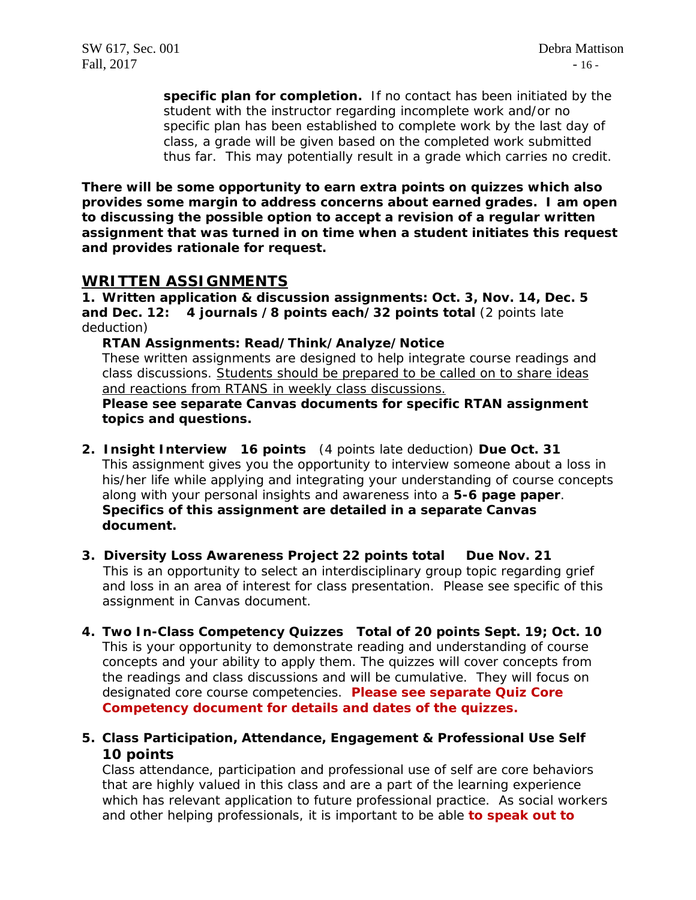**specific plan for completion.** If no contact has been initiated by the student with the instructor regarding incomplete work and/or no specific plan has been established to complete work by the last day of class, a grade will be given based on the completed work submitted thus far. This may potentially result in a grade which carries no credit.

**There will be some opportunity to earn extra points on quizzes which also provides some margin to address concerns about earned grades. I am open to discussing the possible option to accept a revision of a regular written assignment that was turned in on time when a student initiates this request and provides rationale for request.**

## **WRITTEN ASSIGNMENTS**

**1. Written application & discussion assignments: Oct. 3, Nov. 14, Dec. 5 and Dec. 12: 4 journals /8 points each/32 points total** (2 points late deduction)

**RTAN Assignments: Read/Think/Analyze/Notice**

These written assignments are designed to help integrate course readings and class discussions. Students should be prepared to be called on to share ideas and reactions from RTANS in weekly class discussions.

**Please see separate Canvas documents for specific RTAN assignment topics and questions.** 

- **2. Insight Interview 16 points** (4 points late deduction) **Due Oct. 31** This assignment gives you the opportunity to interview someone about a loss in his/her life while applying and integrating your understanding of course concepts along with your personal insights and awareness into a **5-6 page paper**. **Specifics of this assignment are detailed in a separate Canvas document.**
- **3. Diversity Loss Awareness Project 22 points total Due Nov. 21** This is an opportunity to select an interdisciplinary group topic regarding grief and loss in an area of interest for class presentation. Please see specific of this assignment in Canvas document.
- **4. Two In-Class Competency Quizzes Total of 20 points Sept. 19; Oct. 10** This is your opportunity to demonstrate reading and understanding of course concepts and your ability to apply them. The quizzes will cover concepts from the readings and class discussions and will be cumulative. They will focus on designated core course competencies. **Please see separate Quiz Core Competency document for details and dates of the quizzes.**
- **5. Class Participation, Attendance, Engagement & Professional Use Self 10 points**

Class attendance, participation and professional use of self are core behaviors that are highly valued in this class and are a part of the learning experience which has relevant application to future professional practice. As social workers and other helping professionals, it is important to be able **to speak out to**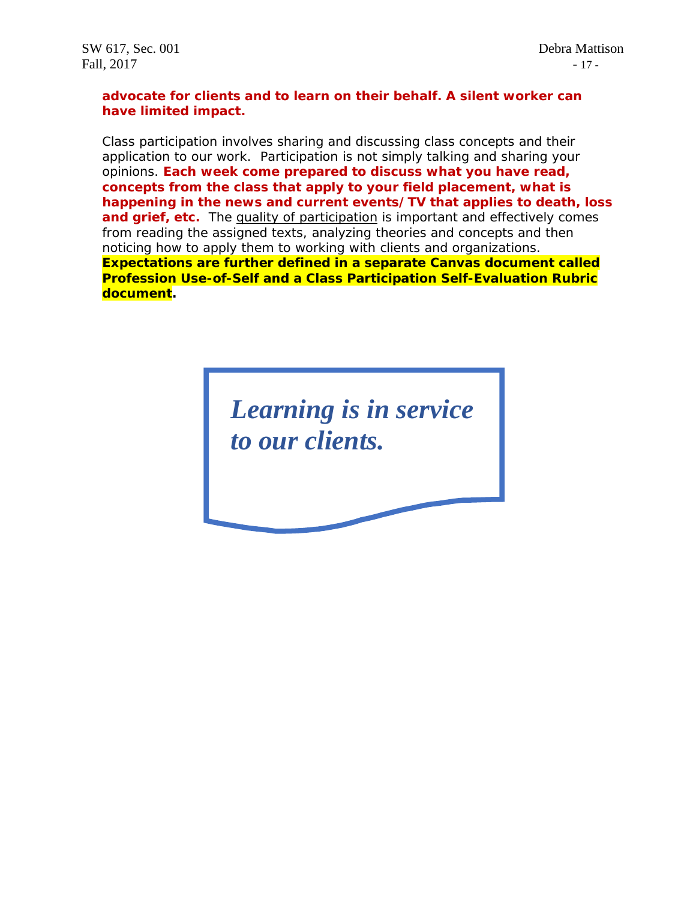### **advocate for clients and to learn on their behalf. A silent worker can have limited impact.**

Class participation involves sharing and discussing class concepts and their application to our work. Participation is not simply talking and sharing your opinions. **Each week come prepared to discuss what you have read, concepts from the class that apply to your field placement, what is happening in the news and current events/TV that applies to death, loss**  and grief, etc. The quality of participation is important and effectively comes from reading the assigned texts, analyzing theories and concepts and then noticing how to apply them to working with clients and organizations. **Expectations are further defined in a separate Canvas document called Profession Use-of-Self and a Class Participation Self-Evaluation Rubric document.**

> *Learning is in service to our clients.*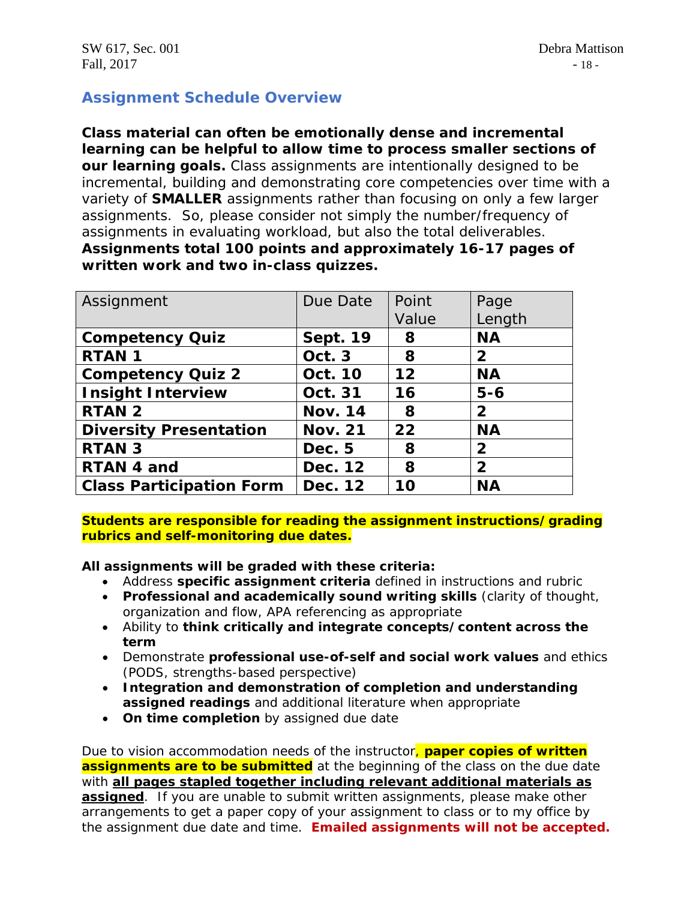# **Assignment Schedule Overview**

**Class material can often be emotionally dense and incremental learning can be helpful to allow time to process smaller sections of our learning goals.** Class assignments are intentionally designed to be incremental, building and demonstrating core competencies over time with a variety of **SMALLER** assignments rather than focusing on only a few larger assignments. So, please consider not simply the number/frequency of assignments in evaluating workload, but also the total deliverables. **Assignments total 100 points and approximately 16-17 pages of written work and two in-class quizzes.**

| Assignment                      | Due Date        | Point | Page           |
|---------------------------------|-----------------|-------|----------------|
|                                 |                 | Value | Length         |
| <b>Competency Quiz</b>          | <b>Sept. 19</b> | 8     | <b>NA</b>      |
| <b>RTAN1</b>                    | Oct. 3          | 8     | $\mathbf{2}$   |
| <b>Competency Quiz 2</b>        | <b>Oct. 10</b>  | 12    | <b>NA</b>      |
| <b>Insight Interview</b>        | Oct. 31         | 16    | $5 - 6$        |
| <b>RTAN 2</b>                   | <b>Nov. 14</b>  | 8     | $\mathbf{2}$   |
| <b>Diversity Presentation</b>   | <b>Nov. 21</b>  | 22    | <b>NA</b>      |
| <b>RTAN 3</b>                   | Dec. 5          | 8     | $\overline{2}$ |
| RTAN 4 and                      | Dec. 12         | 8     | $\overline{2}$ |
| <b>Class Participation Form</b> | Dec. 12         | 10    | <b>NA</b>      |

**Students are responsible for reading the assignment instructions/grading rubrics and self-monitoring due dates.**

**All assignments will be graded with these criteria:**

- Address **specific assignment criteria** defined in instructions and rubric
- **Professional and academically sound writing skills** (clarity of thought, organization and flow, APA referencing as appropriate
- Ability to **think critically and integrate concepts/content across the term**
- Demonstrate **professional use-of-self and social work values** and ethics (PODS, strengths-based perspective)
- **Integration and demonstration of completion and understanding assigned readings** and additional literature when appropriate
- **On time completion** by assigned due date

Due to vision accommodation needs of the instructor, **paper copies of written assignments are to be submitted** at the beginning of the class on the due date with **all pages stapled together including relevant additional materials as assigned**. If you are unable to submit written assignments, please make other arrangements to get a paper copy of your assignment to class or to my office by the assignment due date and time. **Emailed assignments will not be accepted.**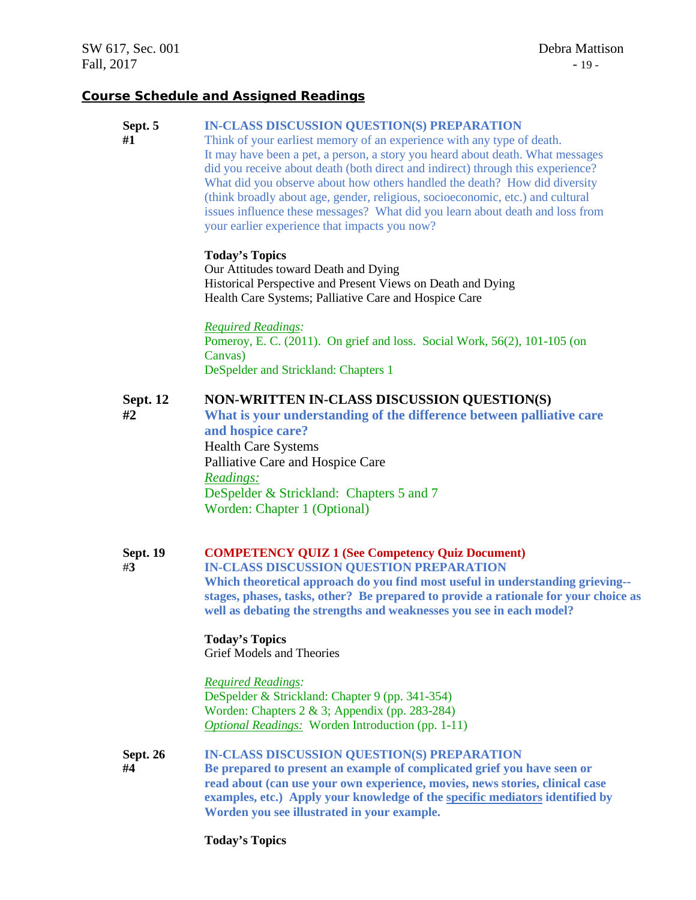#### **Course Schedule and Assigned Readings**

#### **Sept. 5 IN-CLASS DISCUSSION QUESTION(S) PREPARATION**

**#1** Think of your earliest memory of an experience with any type of death. It may have been a pet, a person, a story you heard about death. What messages did you receive about death (both direct and indirect) through this experience? What did you observe about how others handled the death? How did diversity (think broadly about age, gender, religious, socioeconomic, etc.) and cultural issues influence these messages? What did you learn about death and loss from your earlier experience that impacts you now?

#### **Today's Topics**

Our Attitudes toward Death and Dying Historical Perspective and Present Views on Death and Dying Health Care Systems; Palliative Care and Hospice Care

*Required Readings:* Pomeroy, E. C. (2011). On grief and loss. Social Work, 56(2), 101-105 (on Canvas) DeSpelder and Strickland: Chapters 1

#### **Sept. 12 NON-WRITTEN IN-CLASS DISCUSSION QUESTION(S)**

**#2 What is your understanding of the difference between palliative care and hospice care?** Health Care Systems Palliative Care and Hospice Care *Readings:* DeSpelder & Strickland: Chapters 5 and 7 Worden: Chapter 1 (Optional)

#### **Sept. 19 COMPETENCY QUIZ 1 (See Competency Quiz Document)**

#**3 IN-CLASS DISCUSSION QUESTION PREPARATION**

**Which theoretical approach do you find most useful in understanding grieving- stages, phases, tasks, other? Be prepared to provide a rationale for your choice as well as debating the strengths and weaknesses you see in each model?**

#### **Today's Topics** Grief Models and Theories

*Required Readings:*

DeSpelder & Strickland: Chapter 9 (pp. 341-354) Worden: Chapters 2 & 3; Appendix (pp. 283-284) *Optional Readings:* Worden Introduction (pp. 1-11)

- **Sept. 26 IN-CLASS DISCUSSION QUESTION(S) PREPARATION**
- **#4 Be prepared to present an example of complicated grief you have seen or read about (can use your own experience, movies, news stories, clinical case examples, etc.) Apply your knowledge of the specific mediators identified by Worden you see illustrated in your example.**

**Today's Topics**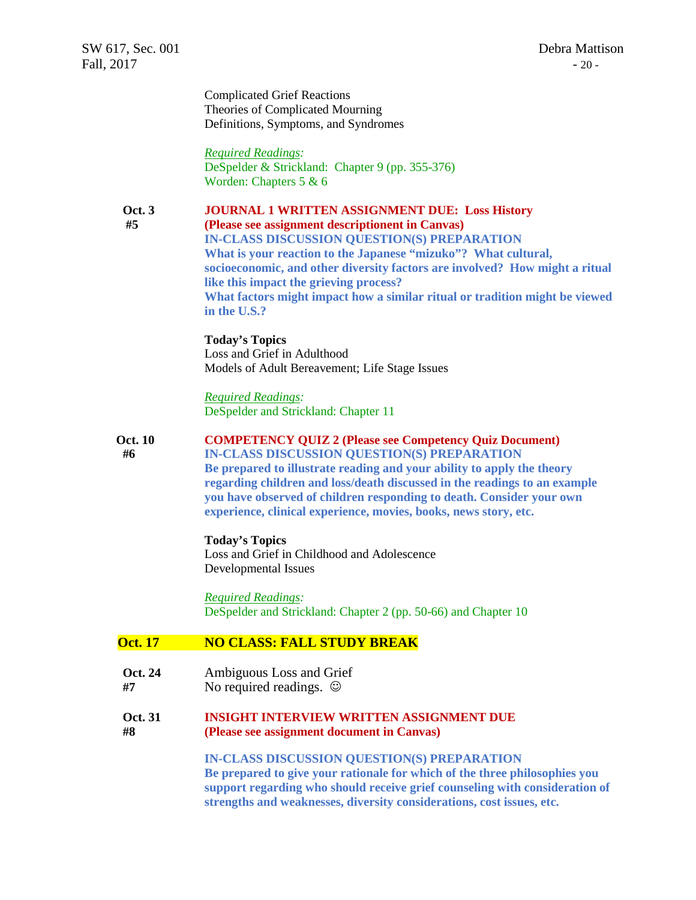Complicated Grief Reactions Theories of Complicated Mourning Definitions, Symptoms, and Syndromes

*Required Readings:* DeSpelder & Strickland: Chapter 9 (pp. 355-376) Worden: Chapters 5 & 6

#### **Oct. 3 JOURNAL 1 WRITTEN ASSIGNMENT DUE: Loss History**

### **#5 (Please see assignment descriptionent in Canvas) IN-CLASS DISCUSSION QUESTION(S) PREPARATION**

**What is your reaction to the Japanese "mizuko"? What cultural, socioeconomic, and other diversity factors are involved? How might a ritual like this impact the grieving process? What factors might impact how a similar ritual or tradition might be viewed in the U.S.?** 

#### **Today's Topics**

Loss and Grief in Adulthood Models of Adult Bereavement; Life Stage Issues

#### *Required Readings:* DeSpelder and Strickland: Chapter 11

#### **Oct. 10 COMPETENCY QUIZ 2 (Please see Competency Quiz Document)**

**#6 IN-CLASS DISCUSSION QUESTION(S) PREPARATION Be prepared to illustrate reading and your ability to apply the theory regarding children and loss/death discussed in the readings to an example you have observed of children responding to death. Consider your own experience, clinical experience, movies, books, news story, etc.**

#### **Today's Topics**

Loss and Grief in Childhood and Adolescence Developmental Issues

*Required Readings:* DeSpelder and Strickland: Chapter 2 (pp. 50-66) and Chapter 10

#### **Oct. 17 NO CLASS: FALL STUDY BREAK**

- **Oct. 24** Ambiguous Loss and Grief
- **#7** No required readings.

#### **Oct. 31 INSIGHT INTERVIEW WRITTEN ASSIGNMENT DUE #8 (Please see assignment document in Canvas)**

#### **IN-CLASS DISCUSSION QUESTION(S) PREPARATION**

**Be prepared to give your rationale for which of the three philosophies you support regarding who should receive grief counseling with consideration of strengths and weaknesses, diversity considerations, cost issues, etc.**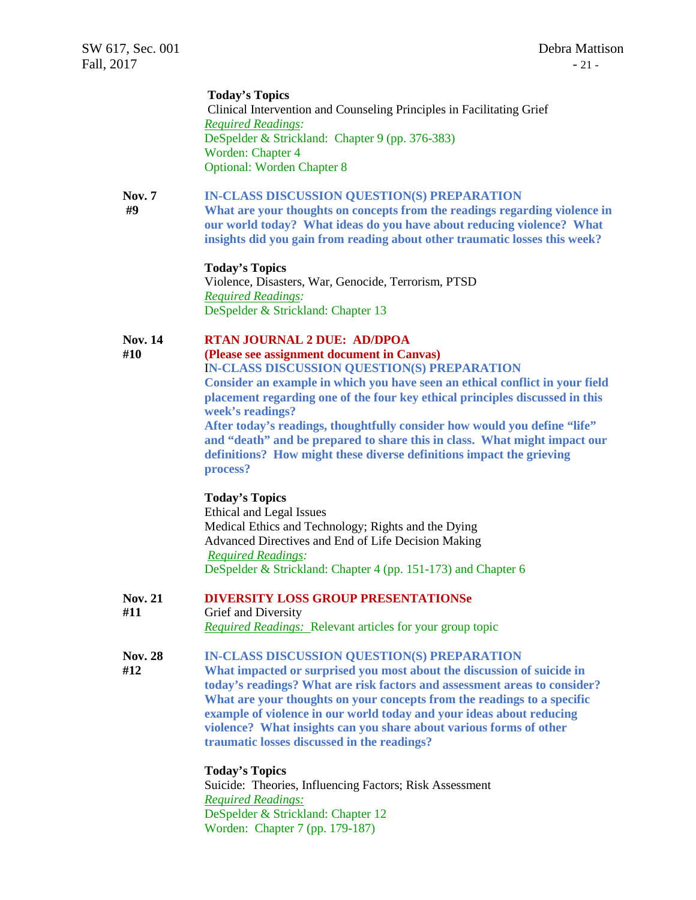#### **Today's Topics**

Clinical Intervention and Counseling Principles in Facilitating Grief *Required Readings:* DeSpelder & Strickland: Chapter 9 (pp. 376-383) Worden: Chapter 4 Optional: Worden Chapter 8

#### **Nov. 7 IN-CLASS DISCUSSION QUESTION(S) PREPARATION**

**#9 What are your thoughts on concepts from the readings regarding violence in our world today? What ideas do you have about reducing violence? What insights did you gain from reading about other traumatic losses this week?**

#### **Today's Topics**

Violence, Disasters, War, Genocide, Terrorism, PTSD *Required Readings:* DeSpelder & Strickland: Chapter 13

#### **Nov. 14 RTAN JOURNAL 2 DUE: AD/DPOA**

**#10 (Please see assignment document in Canvas)**

I**N-CLASS DISCUSSION QUESTION(S) PREPARATION Consider an example in which you have seen an ethical conflict in your field placement regarding one of the four key ethical principles discussed in this week's readings?**

**After today's readings, thoughtfully consider how would you define "life" and "death" and be prepared to share this in class. What might impact our definitions? How might these diverse definitions impact the grieving process?**

#### **Today's Topics**

Ethical and Legal Issues Medical Ethics and Technology; Rights and the Dying Advanced Directives and End of Life Decision Making *Required Readings:* DeSpelder & Strickland: Chapter 4 (pp. 151-173) and Chapter 6

**Nov. 21 DIVERSITY LOSS GROUP PRESENTATIONSe**

#### **#11** Grief and Diversity

*Required Readings:* Relevant articles for your group topic

**Nov. 28 IN-CLASS DISCUSSION QUESTION(S) PREPARATION**

 **#12 What impacted or surprised you most about the discussion of suicide in today's readings? What are risk factors and assessment areas to consider? What are your thoughts on your concepts from the readings to a specific example of violence in our world today and your ideas about reducing violence? What insights can you share about various forms of other traumatic losses discussed in the readings?**

**Today's Topics**

Suicide: Theories, Influencing Factors; Risk Assessment *Required Readings:* DeSpelder & Strickland: Chapter 12 Worden: Chapter 7 (pp. 179-187)